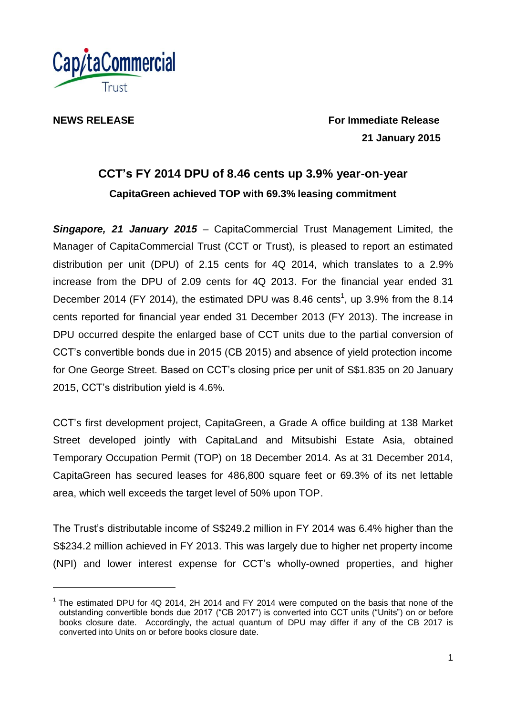

l

**NEWS RELEASE** *NEWS RELEASE Release For Immediate Release*  **21 January 2015**

# **CCT's FY 2014 DPU of 8.46 cents up 3.9% year-on-year CapitaGreen achieved TOP with 69.3% leasing commitment**

*Singapore, 21 January 2015* – CapitaCommercial Trust Management Limited, the Manager of CapitaCommercial Trust (CCT or Trust), is pleased to report an estimated distribution per unit (DPU) of 2.15 cents for 4Q 2014, which translates to a 2.9% increase from the DPU of 2.09 cents for 4Q 2013. For the financial year ended 31 December 2014 (FY 2014), the estimated DPU was 8.46 cents<sup>1</sup>, up 3.9% from the 8.14 cents reported for financial year ended 31 December 2013 (FY 2013). The increase in DPU occurred despite the enlarged base of CCT units due to the partial conversion of CCT's convertible bonds due in 2015 (CB 2015) and absence of yield protection income for One George Street. Based on CCT's closing price per unit of S\$1.835 on 20 January 2015, CCT's distribution yield is 4.6%.

CCT's first development project, CapitaGreen, a Grade A office building at 138 Market Street developed jointly with CapitaLand and Mitsubishi Estate Asia, obtained Temporary Occupation Permit (TOP) on 18 December 2014. As at 31 December 2014, CapitaGreen has secured leases for 486,800 square feet or 69.3% of its net lettable area, which well exceeds the target level of 50% upon TOP.

The Trust's distributable income of S\$249.2 million in FY 2014 was 6.4% higher than the S\$234.2 million achieved in FY 2013. This was largely due to higher net property income (NPI) and lower interest expense for CCT's wholly-owned properties, and higher

 $1$  The estimated DPU for 4Q 2014, 2H 2014 and FY 2014 were computed on the basis that none of the outstanding convertible bonds due 2017 ("CB 2017") is converted into CCT units ("Units") on or before books closure date. Accordingly, the actual quantum of DPU may differ if any of the CB 2017 is converted into Units on or before books closure date.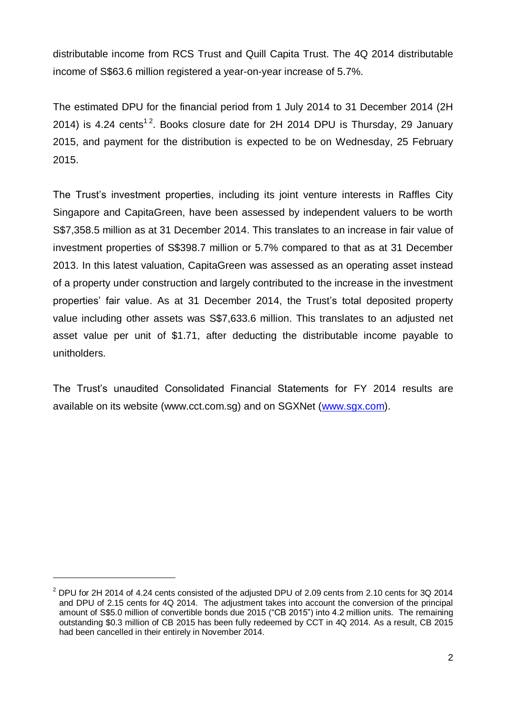distributable income from RCS Trust and Quill Capita Trust. The 4Q 2014 distributable income of S\$63.6 million registered a year-on-year increase of 5.7%.

The estimated DPU for the financial period from 1 July 2014 to 31 December 2014 (2H 2014) is 4.24 cents<sup>12</sup>. Books closure date for 2H 2014 DPU is Thursday, 29 January 2015, and payment for the distribution is expected to be on Wednesday, 25 February 2015.

The Trust's investment properties, including its joint venture interests in Raffles City Singapore and CapitaGreen, have been assessed by independent valuers to be worth S\$7,358.5 million as at 31 December 2014. This translates to an increase in fair value of investment properties of S\$398.7 million or 5.7% compared to that as at 31 December 2013. In this latest valuation, CapitaGreen was assessed as an operating asset instead of a property under construction and largely contributed to the increase in the investment properties' fair value. As at 31 December 2014, the Trust's total deposited property value including other assets was S\$7,633.6 million. This translates to an adjusted net asset value per unit of \$1.71, after deducting the distributable income payable to unitholders.

The Trust's unaudited Consolidated Financial Statements for FY 2014 results are available on its website (www.cct.com.sg) and on SGXNet [\(www.sgx.com\)](http://www.sgx.com/).

l

 $2$  DPU for 2H 2014 of 4.24 cents consisted of the adjusted DPU of 2.09 cents from 2.10 cents for 3Q 2014 and DPU of 2.15 cents for 4Q 2014. The adjustment takes into account the conversion of the principal amount of S\$5.0 million of convertible bonds due 2015 ("CB 2015") into 4.2 million units. The remaining outstanding \$0.3 million of CB 2015 has been fully redeemed by CCT in 4Q 2014. As a result, CB 2015 had been cancelled in their entirely in November 2014.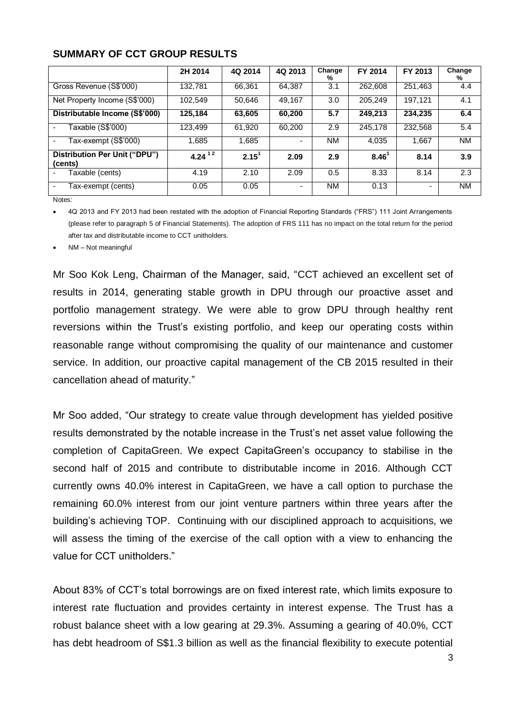|                                          | 2H 2014   | 4Q 2014           | 4Q 2013 | Change<br>% | FY 2014           | FY 2013 | Change<br>℅ |
|------------------------------------------|-----------|-------------------|---------|-------------|-------------------|---------|-------------|
| Gross Revenue (S\$'000)                  | 132.781   | 66.361            | 64.387  | 3.1         | 262,608           | 251,463 | 4.4         |
| Net Property Income (S\$'000)            | 102,549   | 50.646            | 49,167  | 3.0         | 205,249           | 197,121 | 4.1         |
| Distributable Income (S\$'000)           | 125,184   | 63,605            | 60,200  | 5.7         | 249,213           | 234,235 | 6.4         |
| Taxable (S\$'000)                        | 123.499   | 61,920            | 60,200  | 2.9         | 245,178           | 232,568 | 5.4         |
| Tax-exempt (S\$'000)                     | 1,685     | 1,685             |         | <b>NM</b>   | 4.035             | 1,667   | <b>NM</b>   |
| Distribution Per Unit ("DPU")<br>(cents) | 4.24 $12$ | 2.15 <sup>1</sup> | 2.09    | 2.9         | 8.46 <sup>1</sup> | 8.14    | 3.9         |
| Taxable (cents)                          | 4.19      | 2.10              | 2.09    | 0.5         | 8.33              | 8.14    | 2.3         |
| Tax-exempt (cents)                       | 0.05      | 0.05              |         | <b>NM</b>   | 0.13              |         | <b>NM</b>   |

Notes:

 4Q 2013 and FY 2013 had been restated with the adoption of Financial Reporting Standards ("FRS") 111 Joint Arrangements (please refer to paragraph 5 of Financial Statements). The adoption of FRS 111 has no impact on the total return for the period after tax and distributable income to CCT unitholders.

NM – Not meaningful

Mr Soo Kok Leng, Chairman of the Manager, said, "CCT achieved an excellent set of results in 2014, generating stable growth in DPU through our proactive asset and portfolio management strategy. We were able to grow DPU through healthy rent reversions within the Trust's existing portfolio, and keep our operating costs within reasonable range without compromising the quality of our maintenance and customer service. In addition, our proactive capital management of the CB 2015 resulted in their cancellation ahead of maturity."

Mr Soo added, "Our strategy to create value through development has yielded positive results demonstrated by the notable increase in the Trust's net asset value following the completion of CapitaGreen. We expect CapitaGreen's occupancy to stabilise in the second half of 2015 and contribute to distributable income in 2016. Although CCT currently owns 40.0% interest in CapitaGreen, we have a call option to purchase the remaining 60.0% interest from our joint venture partners within three years after the building's achieving TOP. Continuing with our disciplined approach to acquisitions, we will assess the timing of the exercise of the call option with a view to enhancing the value for CCT unitholders."

About 83% of CCT's total borrowings are on fixed interest rate, which limits exposure to interest rate fluctuation and provides certainty in interest expense. The Trust has a robust balance sheet with a low gearing at 29.3%. Assuming a gearing of 40.0%, CCT has debt headroom of S\$1.3 billion as well as the financial flexibility to execute potential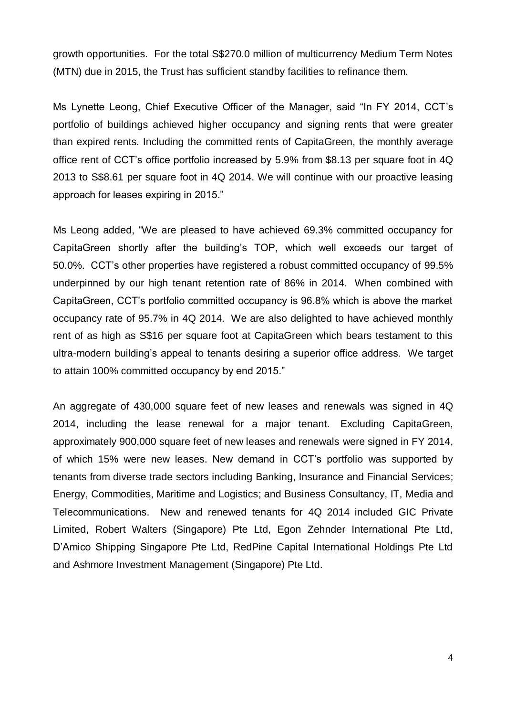growth opportunities. For the total S\$270.0 million of multicurrency Medium Term Notes (MTN) due in 2015, the Trust has sufficient standby facilities to refinance them.

Ms Lynette Leong, Chief Executive Officer of the Manager, said "In FY 2014, CCT's portfolio of buildings achieved higher occupancy and signing rents that were greater than expired rents. Including the committed rents of CapitaGreen, the monthly average office rent of CCT's office portfolio increased by 5.9% from \$8.13 per square foot in 4Q 2013 to S\$8.61 per square foot in 4Q 2014. We will continue with our proactive leasing approach for leases expiring in 2015."

Ms Leong added, "We are pleased to have achieved 69.3% committed occupancy for CapitaGreen shortly after the building's TOP, which well exceeds our target of 50.0%. CCT's other properties have registered a robust committed occupancy of 99.5% underpinned by our high tenant retention rate of 86% in 2014. When combined with CapitaGreen, CCT's portfolio committed occupancy is 96.8% which is above the market occupancy rate of 95.7% in 4Q 2014. We are also delighted to have achieved monthly rent of as high as S\$16 per square foot at CapitaGreen which bears testament to this ultra-modern building's appeal to tenants desiring a superior office address. We target to attain 100% committed occupancy by end 2015."

An aggregate of 430,000 square feet of new leases and renewals was signed in 4Q 2014, including the lease renewal for a major tenant. Excluding CapitaGreen, approximately 900,000 square feet of new leases and renewals were signed in FY 2014, of which 15% were new leases. New demand in CCT's portfolio was supported by tenants from diverse trade sectors including Banking, Insurance and Financial Services; Energy, Commodities, Maritime and Logistics; and Business Consultancy, IT, Media and Telecommunications. New and renewed tenants for 4Q 2014 included GIC Private Limited, Robert Walters (Singapore) Pte Ltd, Egon Zehnder International Pte Ltd, D'Amico Shipping Singapore Pte Ltd, RedPine Capital International Holdings Pte Ltd and Ashmore Investment Management (Singapore) Pte Ltd.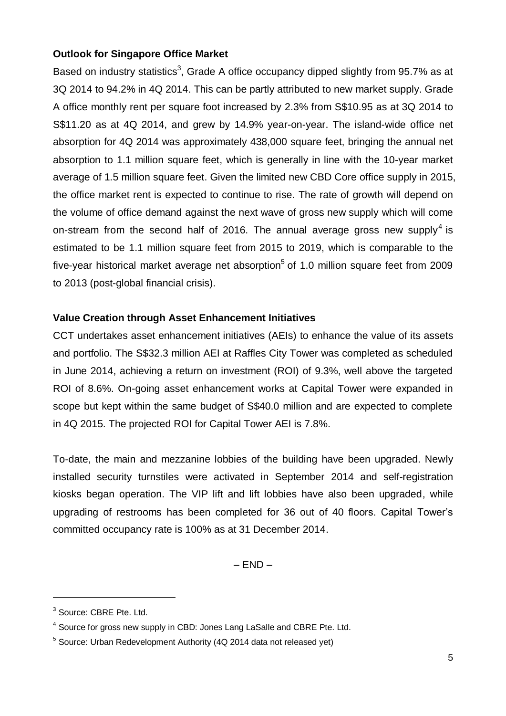## **Outlook for Singapore Office Market**

Based on industry statistics<sup>3</sup>, Grade A office occupancy dipped slightly from 95.7% as at 3Q 2014 to 94.2% in 4Q 2014. This can be partly attributed to new market supply. Grade A office monthly rent per square foot increased by 2.3% from S\$10.95 as at 3Q 2014 to S\$11.20 as at 4Q 2014, and grew by 14.9% year-on-year. The island-wide office net absorption for 4Q 2014 was approximately 438,000 square feet, bringing the annual net absorption to 1.1 million square feet, which is generally in line with the 10-year market average of 1.5 million square feet. Given the limited new CBD Core office supply in 2015, the office market rent is expected to continue to rise. The rate of growth will depend on the volume of office demand against the next wave of gross new supply which will come on-stream from the second half of 2016. The annual average gross new supply<sup>4</sup> is estimated to be 1.1 million square feet from 2015 to 2019, which is comparable to the five-year historical market average net absorption<sup>5</sup> of 1.0 million square feet from 2009 to 2013 (post-global financial crisis).

## **Value Creation through Asset Enhancement Initiatives**

CCT undertakes asset enhancement initiatives (AEIs) to enhance the value of its assets and portfolio. The S\$32.3 million AEI at Raffles City Tower was completed as scheduled in June 2014, achieving a return on investment (ROI) of 9.3%, well above the targeted ROI of 8.6%. On-going asset enhancement works at Capital Tower were expanded in scope but kept within the same budget of S\$40.0 million and are expected to complete in 4Q 2015. The projected ROI for Capital Tower AEI is 7.8%.

To-date, the main and mezzanine lobbies of the building have been upgraded. Newly installed security turnstiles were activated in September 2014 and self-registration kiosks began operation. The VIP lift and lift lobbies have also been upgraded, while upgrading of restrooms has been completed for 36 out of 40 floors. Capital Tower's committed occupancy rate is 100% as at 31 December 2014.

 $-$  END  $-$ 

 $\overline{a}$ 

<sup>3</sup> Source: CBRE Pte. Ltd.

<sup>&</sup>lt;sup>4</sup> Source for gross new supply in CBD: Jones Lang LaSalle and CBRE Pte. Ltd.

<sup>&</sup>lt;sup>5</sup> Source: Urban Redevelopment Authority (4Q 2014 data not released yet)